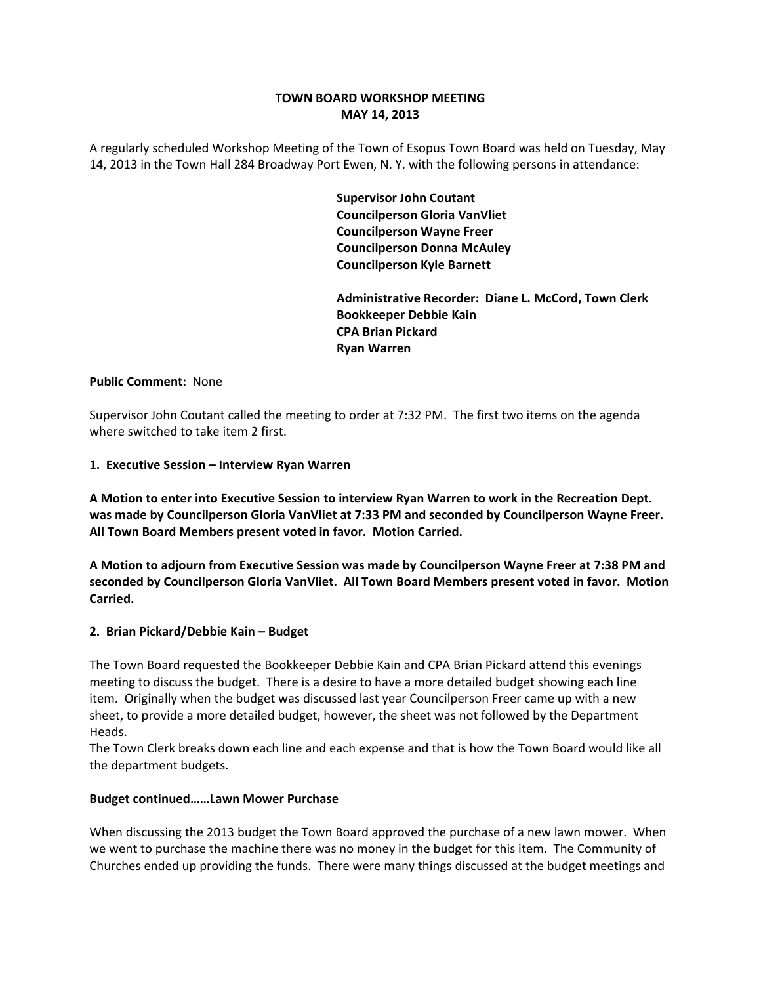# **TOWN BOARD WORKSHOP MEETING MAY 14, 2013**

A regularly scheduled Workshop Meeting of the Town of Esopus Town Board was held on Tuesday, May 14, 2013 in the Town Hall 284 Broadway Port Ewen, N. Y. with the following persons in attendance:

> **Supervisor John Coutant Councilperson Gloria VanVliet Councilperson Wayne Freer Councilperson Donna McAuley Councilperson Kyle Barnett**

 **Administrative Recorder: Diane L. McCord, Town Clerk Bookkeeper Debbie Kain CPA Brian Pickard Ryan Warren**

## **Public Comment:** None

Supervisor John Coutant called the meeting to order at 7:32 PM. The first two items on the agenda where switched to take item 2 first.

# **1. Executive Session – Interview Ryan Warren**

**A Motion to enter into Executive Session to interview Ryan Warren to work in the Recreation Dept. was made by Councilperson Gloria VanVliet at 7:33 PM and seconded by Councilperson Wayne Freer. All Town Board Members present voted in favor. Motion Carried.**

**A Motion to adjourn from Executive Session was made by Councilperson Wayne Freer at 7:38 PM and seconded by Councilperson Gloria VanVliet. All Town Board Members present voted in favor. Motion Carried.**

# **2. Brian Pickard/Debbie Kain – Budget**

The Town Board requested the Bookkeeper Debbie Kain and CPA Brian Pickard attend this evenings meeting to discuss the budget. There is a desire to have a more detailed budget showing each line item. Originally when the budget was discussed last year Councilperson Freer came up with a new sheet, to provide a more detailed budget, however, the sheet was not followed by the Department Heads.

The Town Clerk breaks down each line and each expense and that is how the Town Board would like all the department budgets.

#### **Budget continued……Lawn Mower Purchase**

When discussing the 2013 budget the Town Board approved the purchase of a new lawn mower. When we went to purchase the machine there was no money in the budget for this item. The Community of Churches ended up providing the funds. There were many things discussed at the budget meetings and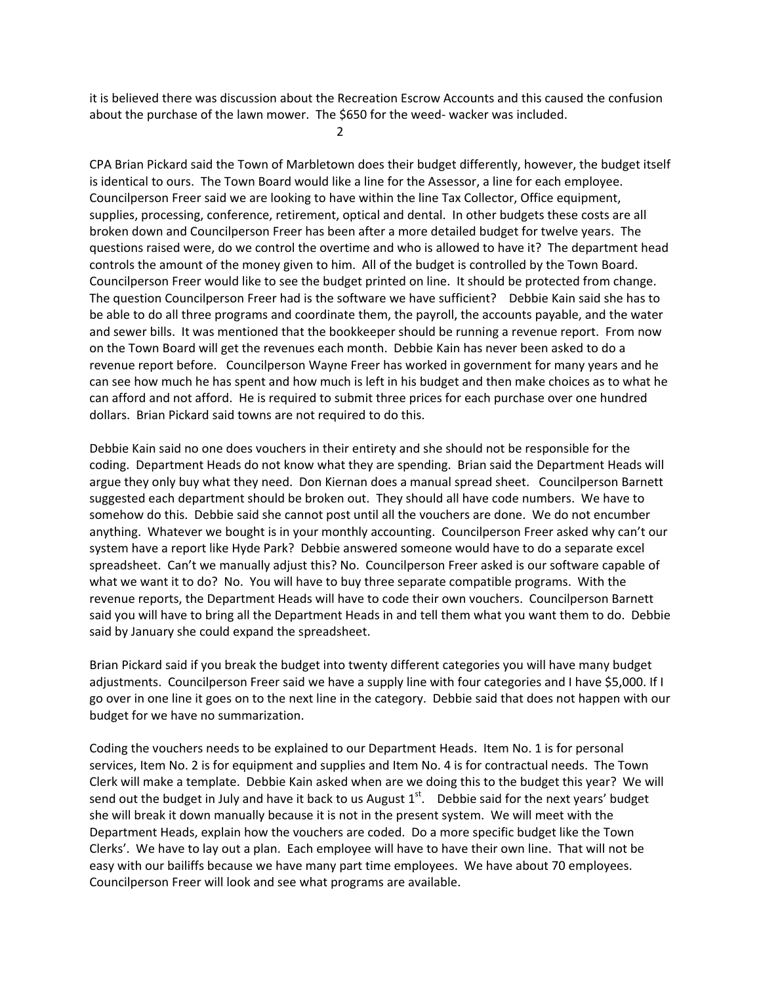it is believed there was discussion about the Recreation Escrow Accounts and this caused the confusion about the purchase of the lawn mower. The \$650 for the weed- wacker was included.

2

CPA Brian Pickard said the Town of Marbletown does their budget differently, however, the budget itself is identical to ours. The Town Board would like a line for the Assessor, a line for each employee. Councilperson Freer said we are looking to have within the line Tax Collector, Office equipment, supplies, processing, conference, retirement, optical and dental. In other budgets these costs are all broken down and Councilperson Freer has been after a more detailed budget for twelve years. The questions raised were, do we control the overtime and who is allowed to have it? The department head controls the amount of the money given to him. All of the budget is controlled by the Town Board. Councilperson Freer would like to see the budget printed on line. It should be protected from change. The question Councilperson Freer had is the software we have sufficient? Debbie Kain said she has to be able to do all three programs and coordinate them, the payroll, the accounts payable, and the water and sewer bills. It was mentioned that the bookkeeper should be running a revenue report. From now on the Town Board will get the revenues each month. Debbie Kain has never been asked to do a revenue report before. Councilperson Wayne Freer has worked in government for many years and he can see how much he has spent and how much is left in his budget and then make choices as to what he can afford and not afford. He is required to submit three prices for each purchase over one hundred dollars. Brian Pickard said towns are not required to do this.

Debbie Kain said no one does vouchers in their entirety and she should not be responsible for the coding. Department Heads do not know what they are spending. Brian said the Department Heads will argue they only buy what they need. Don Kiernan does a manual spread sheet. Councilperson Barnett suggested each department should be broken out. They should all have code numbers. We have to somehow do this. Debbie said she cannot post until all the vouchers are done. We do not encumber anything. Whatever we bought is in your monthly accounting. Councilperson Freer asked why can't our system have a report like Hyde Park? Debbie answered someone would have to do a separate excel spreadsheet. Can't we manually adjust this? No. Councilperson Freer asked is our software capable of what we want it to do? No. You will have to buy three separate compatible programs. With the revenue reports, the Department Heads will have to code their own vouchers. Councilperson Barnett said you will have to bring all the Department Heads in and tell them what you want them to do. Debbie said by January she could expand the spreadsheet.

Brian Pickard said if you break the budget into twenty different categories you will have many budget adjustments. Councilperson Freer said we have a supply line with four categories and I have \$5,000. If I go over in one line it goes on to the next line in the category. Debbie said that does not happen with our budget for we have no summarization.

Coding the vouchers needs to be explained to our Department Heads. Item No. 1 is for personal services, Item No. 2 is for equipment and supplies and Item No. 4 is for contractual needs. The Town Clerk will make a template. Debbie Kain asked when are we doing this to the budget this year? We will send out the budget in July and have it back to us August  $1<sup>st</sup>$ . Debbie said for the next years' budget she will break it down manually because it is not in the present system. We will meet with the Department Heads, explain how the vouchers are coded. Do a more specific budget like the Town Clerks'. We have to lay out a plan. Each employee will have to have their own line. That will not be easy with our bailiffs because we have many part time employees. We have about 70 employees. Councilperson Freer will look and see what programs are available.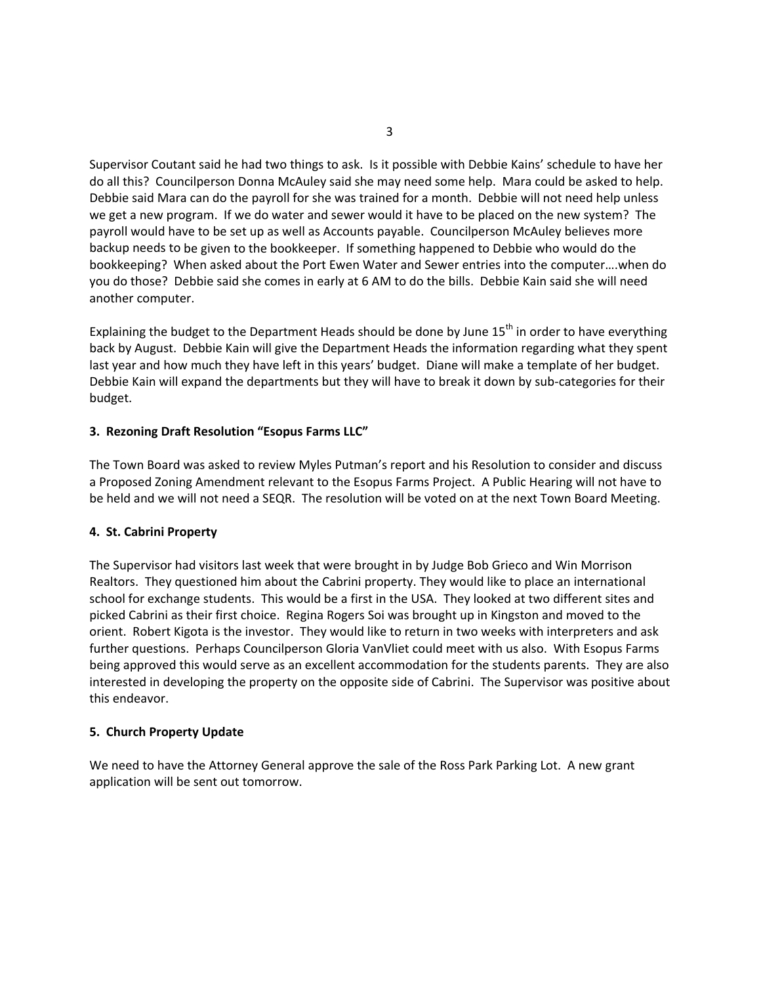Supervisor Coutant said he had two things to ask. Is it possible with Debbie Kains' schedule to have her do all this? Councilperson Donna McAuley said she may need some help. Mara could be asked to help. Debbie said Mara can do the payroll for she was trained for a month. Debbie will not need help unless we get a new program. If we do water and sewer would it have to be placed on the new system? The payroll would have to be set up as well as Accounts payable. Councilperson McAuley believes more backup needs to be given to the bookkeeper. If something happened to Debbie who would do the bookkeeping? When asked about the Port Ewen Water and Sewer entries into the computer….when do you do those? Debbie said she comes in early at 6 AM to do the bills. Debbie Kain said she will need another computer.

Explaining the budget to the Department Heads should be done by June  $15<sup>th</sup>$  in order to have everything back by August. Debbie Kain will give the Department Heads the information regarding what they spent last year and how much they have left in this years' budget. Diane will make a template of her budget. Debbie Kain will expand the departments but they will have to break it down by sub‐categories for their budget.

## **3. Rezoning Draft Resolution "Esopus Farms LLC"**

The Town Board was asked to review Myles Putman's report and his Resolution to consider and discuss a Proposed Zoning Amendment relevant to the Esopus Farms Project. A Public Hearing will not have to be held and we will not need a SEQR. The resolution will be voted on at the next Town Board Meeting.

#### **4. St. Cabrini Property**

The Supervisor had visitors last week that were brought in by Judge Bob Grieco and Win Morrison Realtors. They questioned him about the Cabrini property. They would like to place an international school for exchange students. This would be a first in the USA. They looked at two different sites and picked Cabrini as their first choice. Regina Rogers Soi was brought up in Kingston and moved to the orient. Robert Kigota is the investor. They would like to return in two weeks with interpreters and ask further questions. Perhaps Councilperson Gloria VanVliet could meet with us also. With Esopus Farms being approved this would serve as an excellent accommodation for the students parents. They are also interested in developing the property on the opposite side of Cabrini. The Supervisor was positive about this endeavor.

#### **5. Church Property Update**

We need to have the Attorney General approve the sale of the Ross Park Parking Lot. A new grant application will be sent out tomorrow.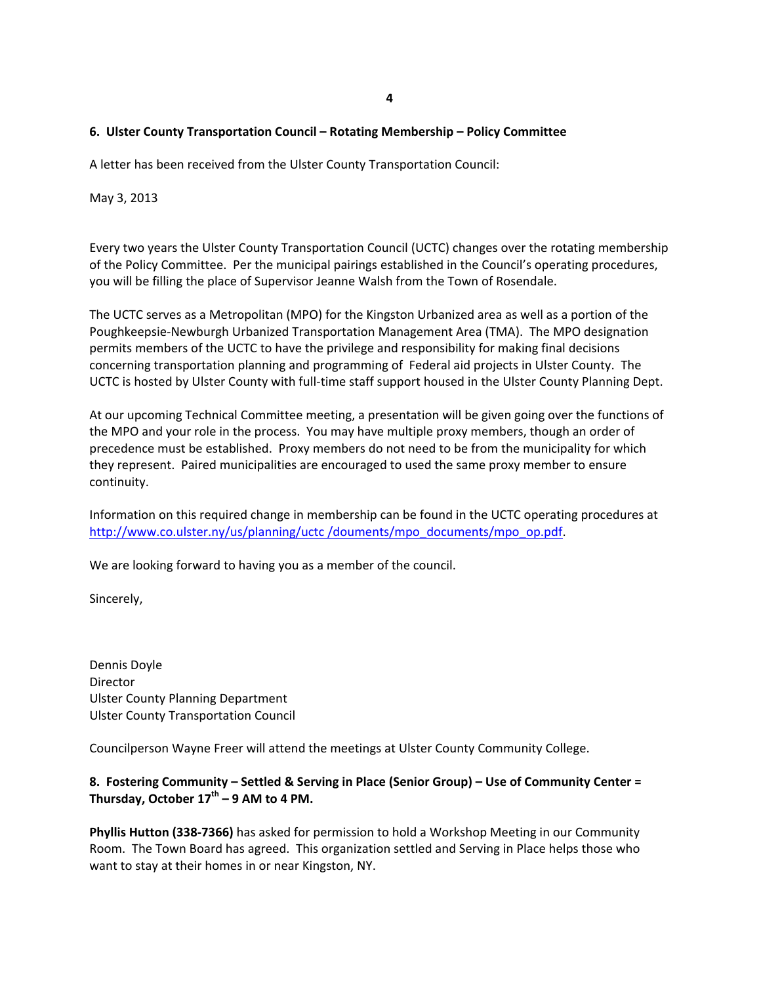## **6. Ulster County Transportation Council – Rotating Membership – Policy Committee**

A letter has been received from the Ulster County Transportation Council:

May 3, 2013

Every two years the Ulster County Transportation Council (UCTC) changes over the rotating membership of the Policy Committee. Per the municipal pairings established in the Council's operating procedures, you will be filling the place of Supervisor Jeanne Walsh from the Town of Rosendale.

The UCTC serves as a Metropolitan (MPO) for the Kingston Urbanized area as well as a portion of the Poughkeepsie‐Newburgh Urbanized Transportation Management Area (TMA). The MPO designation permits members of the UCTC to have the privilege and responsibility for making final decisions concerning transportation planning and programming of Federal aid projects in Ulster County. The UCTC is hosted by Ulster County with full‐time staff support housed in the Ulster County Planning Dept.

At our upcoming Technical Committee meeting, a presentation will be given going over the functions of the MPO and your role in the process. You may have multiple proxy members, though an order of precedence must be established. Proxy members do not need to be from the municipality for which they represent. Paired municipalities are encouraged to used the same proxy member to ensure continuity.

Information on this required change in membership can be found in the UCTC operating procedures at http://www.co.ulster.ny/us/planning/uctc /douments/mpo\_documents/mpo\_op.pdf.

We are looking forward to having you as a member of the council.

Sincerely,

Dennis Doyle Director Ulster County Planning Department Ulster County Transportation Council

Councilperson Wayne Freer will attend the meetings at Ulster County Community College.

# **8. Fostering Community – Settled & Serving in Place (Senior Group) – Use of Community Center = Thursday, October 17th – 9 AM to 4 PM.**

**Phyllis Hutton (338‐7366)** has asked for permission to hold a Workshop Meeting in our Community Room. The Town Board has agreed. This organization settled and Serving in Place helps those who want to stay at their homes in or near Kingston, NY.